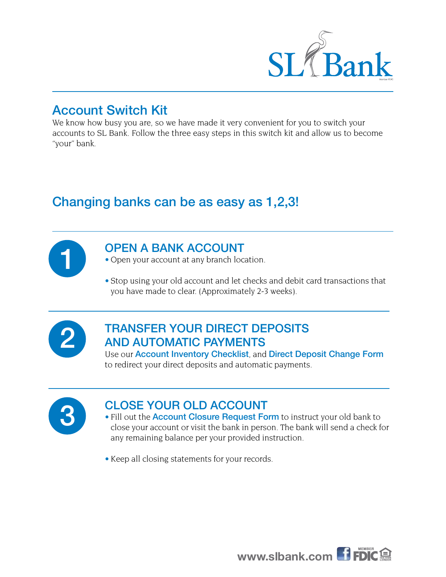

### Account Switch Kit

We know how busy you are, so we have made it very convenient for you to switch your accounts to SL Bank. Follow the three easy steps in this switch kit and allow us to become "your" bank.

# Changing banks can be as easy as 1,2,3!



#### OPEN A BANK ACCOUNT

- Open your account at any branch location.
- Stop using your old account and let checks and debit card transactions that you have made to clear. (Approximately 2-3 weeks).



### TRANSFER YOUR DIRECT DEPOSITS AND AUTOMATIC PAYMENTS

Use our Account Inventory Checklist, and Direct Deposit Change Form to redirect your direct deposits and automatic payments.

### CLOSE YOUR OLD ACCOUNT

- Fill out the **Account Closure Request Form** to instruct your old bank to close your account or visit the bank in person. The bank will send a check for any remaining balance per your provided instruction.
- Keep all closing statements for your records.

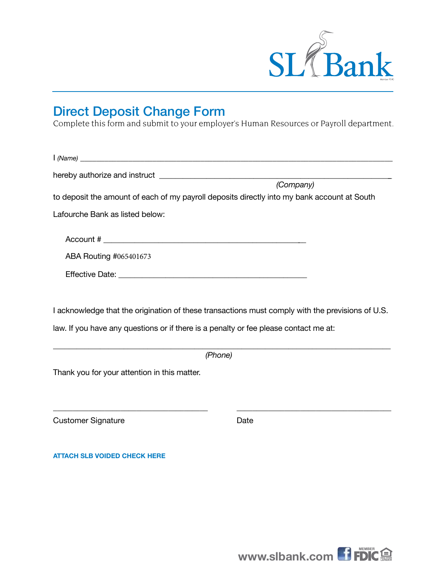

# Direct Deposit Change Form

Complete this form and submit to your employer's Human Resources or Payroll department.

| (Company)                                                                                   |  |
|---------------------------------------------------------------------------------------------|--|
| to deposit the amount of each of my payroll deposits directly into my bank account at South |  |
| Lafourche Bank as listed below:                                                             |  |
|                                                                                             |  |
| ABA Routing #065401673                                                                      |  |
|                                                                                             |  |
|                                                                                             |  |
|                                                                                             |  |

I acknowledge that the origination of these transactions must comply with the previsions of U.S.

law. If you have any questions or if there is a penalty or fee please contact me at:

\_\_\_\_\_\_\_\_\_\_\_\_\_\_\_\_\_\_\_\_\_\_\_\_\_\_\_\_\_\_\_\_\_\_\_\_\_\_\_\_\_\_\_\_\_\_\_\_\_\_\_\_\_\_\_\_\_\_\_\_\_\_\_\_\_\_\_\_\_\_\_\_\_\_\_\_\_\_\_\_\_\_\_\_\_\_  *(Phone)*

 $\overline{\phantom{a}}$  , and the contribution of the contribution of the contribution of the contribution of the contribution of the contribution of the contribution of the contribution of the contribution of the contribution of the

Thank you for your attention in this matter.

Customer Signature **Customer Signature Date** 

**ATTACH SLB VOIDED CHECK HERE**

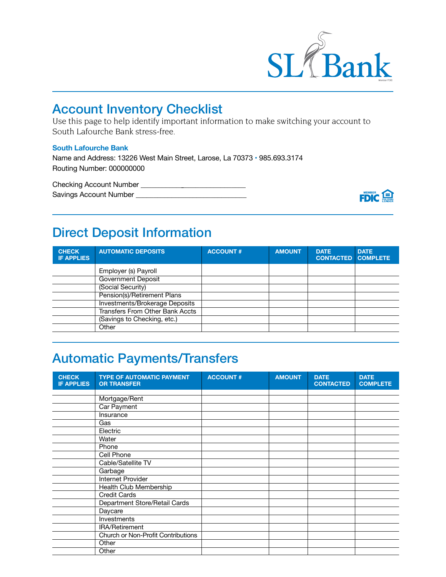

## Account Inventory Checklist

Use this page to help identify important information to make switching your account to South Lafourche Bank stress-free.

#### **South Lafourche Bank**

Name and Address: 13226 West Main Street, Larose, La 70373 • 985.693.3174 Routing Number: 000000000

Checking Account Number \_\_\_\_\_\_\_\_\_\_\_\_\_\_\_\_\_\_\_\_\_\_\_\_\_\_\_\_\_\_ Savings Account Number \_\_\_\_\_\_\_\_\_\_\_\_\_\_\_\_\_\_\_\_\_\_\_\_\_\_\_\_\_\_\_



# Direct Deposit Information

| <b>CHECK</b><br><b>IF APPLIES</b> | <b>AUTOMATIC DEPOSITS</b>              | <b>ACCOUNT#</b> | <b>AMOUNT</b> | <b>DATE</b><br><b>CONTACTED</b> | <b>DATE</b><br><b>COMPLETE</b> |
|-----------------------------------|----------------------------------------|-----------------|---------------|---------------------------------|--------------------------------|
|                                   | Employer (s) Payroll                   |                 |               |                                 |                                |
|                                   | <b>Government Deposit</b>              |                 |               |                                 |                                |
|                                   | (Social Security)                      |                 |               |                                 |                                |
|                                   | Pension(s)/Retirement Plans            |                 |               |                                 |                                |
|                                   | Investments/Brokerage Deposits         |                 |               |                                 |                                |
|                                   | <b>Transfers From Other Bank Accts</b> |                 |               |                                 |                                |
|                                   | (Savings to Checking, etc.)            |                 |               |                                 |                                |
|                                   | Other                                  |                 |               |                                 |                                |

# Automatic Payments/Transfers

| <b>CHECK</b><br><b>IF APPLIES</b> | <b>TYPE OF AUTOMATIC PAYMENT</b><br><b>OR TRANSFER</b> | <b>ACCOUNT#</b> | <b>AMOUNT</b> | <b>DATE</b><br><b>CONTACTED</b> | <b>DATE</b><br><b>COMPLETE</b> |
|-----------------------------------|--------------------------------------------------------|-----------------|---------------|---------------------------------|--------------------------------|
|                                   |                                                        |                 |               |                                 |                                |
|                                   | Mortgage/Rent                                          |                 |               |                                 |                                |
|                                   | Car Payment                                            |                 |               |                                 |                                |
|                                   | Insurance                                              |                 |               |                                 |                                |
|                                   | Gas                                                    |                 |               |                                 |                                |
|                                   | Electric                                               |                 |               |                                 |                                |
|                                   | Water                                                  |                 |               |                                 |                                |
|                                   | Phone                                                  |                 |               |                                 |                                |
|                                   | Cell Phone                                             |                 |               |                                 |                                |
|                                   | Cable/Satellite TV                                     |                 |               |                                 |                                |
|                                   | Garbage                                                |                 |               |                                 |                                |
|                                   | Internet Provider                                      |                 |               |                                 |                                |
|                                   | Health Club Membership                                 |                 |               |                                 |                                |
|                                   | <b>Credit Cards</b>                                    |                 |               |                                 |                                |
|                                   | Department Store/Retail Cards                          |                 |               |                                 |                                |
|                                   | Daycare                                                |                 |               |                                 |                                |
|                                   | Investments                                            |                 |               |                                 |                                |
|                                   | IRA/Retirement                                         |                 |               |                                 |                                |
|                                   | Church or Non-Profit Contributions                     |                 |               |                                 |                                |
|                                   | Other                                                  |                 |               |                                 |                                |
|                                   | Other                                                  |                 |               |                                 |                                |